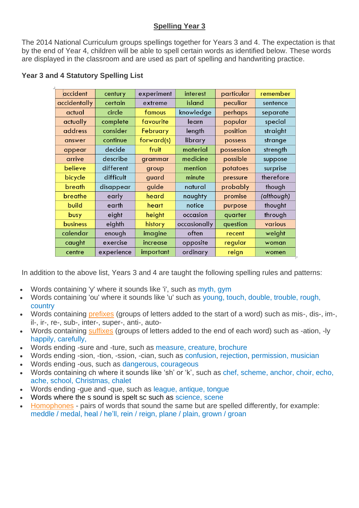## **Spelling Year 3**

The 2014 National Curriculum groups spellings together for Years 3 and 4. The expectation is that by the end of Year 4, children will be able to spell certain words as identified below. These words are displayed in the classroom and are used as part of spelling and handwriting practice.

| accident     | century    | experiment      | interest     | particular | remember   |
|--------------|------------|-----------------|--------------|------------|------------|
| accidentally | certain    | extreme         | island       | peculiar   | sentence   |
| actual       | circle     | famous          | knowledge    | perhaps    | separate   |
| actually     | complete   | favourite       | learn        | popular    | special    |
| address      | consider   | <b>February</b> | length       | position   | straight   |
| answer       | continue   | forward(s)      | library      | possess    | strange    |
| appear       | decide     | fruit           | material     | possession | strength   |
| arrive       | describe   | grammar         | medicine     | possible   | suppose    |
| believe      | different  | group           | mention      | potatoes   | surprise   |
| bicycle      | difficult  | guard           | minute       | pressure   | therefore  |
| breath       | disappear  | guide           | natural      | probably   | though     |
| breathe      | early      | heard           | naughty      | promise    | (although) |
| build        | earth      | heart           | notice       | purpose    | thought    |
| busy         | eight      | height          | occasion     | quarter    | through    |
| business     | eighth     | history         | occasionally | question   | various    |
| calendar     | enough     | imagine         | often        | recent     | weight     |
| caught       | exercise   | increase        | opposite     | regular    | woman      |
| centre       | experience | important       | ordinary     | reign      | women      |

## **Year 3 and 4 Statutory Spelling List**

In addition to the above list, Years 3 and 4 are taught the following spelling rules and patterns:

- Words containing 'y' where it sounds like 'i', such as myth, gym
- Words containing 'ou' where it sounds like 'u' such as young, touch, double, trouble, rough, country
- Words containing [prefixes](https://www.theschoolrun.com/what-is-a-prefix) (groups of letters added to the start of a word) such as mis-, dis-, im-, il-, ir-, re-, sub-, inter-, super-, anti-, auto-
- Words containing [suffixes](https://www.theschoolrun.com/what-is-a-suffix) (groups of letters added to the end of each word) such as -ation, -ly happily, carefully,
- Words ending -sure and -ture, such as measure, creature, brochure
- Words ending -sion, -tion, -ssion, -cian, such as confusion, rejection, permission, musician
- Words ending -ous, such as dangerous, courageous
- Words containing ch where it sounds like 'sh' or 'k', such as chef, scheme, anchor, choir, echo, ache, school, Christmas, chalet
- Words ending -gue and -que, such as league, antique, tongue
- Words where the s sound is spelt sc such as science, scene
- [Homophones](https://www.theschoolrun.com/homophones-explained) pairs of words that sound the same but are spelled differently, for example: meddle / medal, heal / he'll, rein / reign, plane / plain, grown / groan